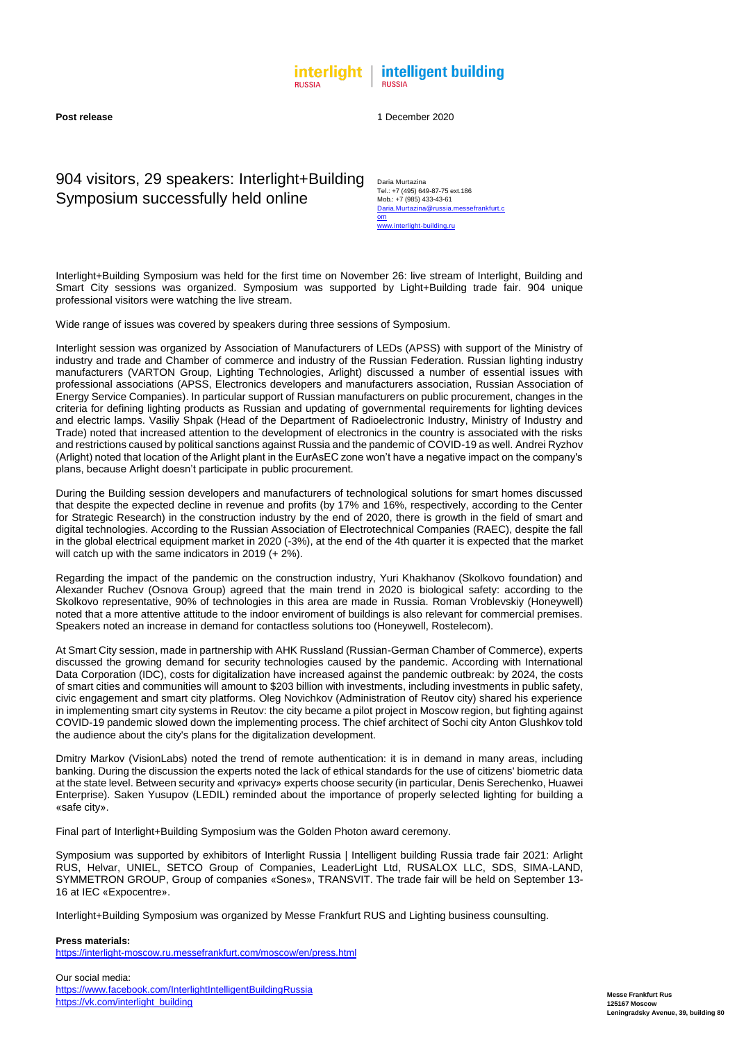**Messe Frankfurt Rus 125167 Moscow Leningradsky Avenue, 39, building 80**



**Post release** 1 December 2020

## 904 visitors, 29 speakers: Interlight+Building Symposium successfully held online

Daria Murtazina Tel.: +7 (495) 649-87-75 ext.186 Mob.: +7 (985) 433-43-61 [Daria.Murtazina@russia.messefrankfurt.c](mailto:Daria.Murtazina@russia.messefrankfurt.com) [om](mailto:Daria.Murtazina@russia.messefrankfurt.com)

[www.interlight-building.ru](http://www.interlight-building.ru/)

Interlight+Building Symposium was held for the first time on November 26: live stream of Interlight, Building and Smart City sessions was organized. Symposium was supported by Light+Building trade fair. 904 unique professional visitors were watching the live stream.

Wide range of issues was covered by speakers during three sessions of Symposium.

During the Building session developers and manufacturers of technological solutions for smart homes discussed that despite the expected decline in revenue and profits (by 17% and 16%, respectively, according to the Center for Strategic Research) in the construction industry by the end of 2020, there is growth in the field of smart and digital technologies. According to the Russian Association of Electrotechnical Companies (RAEC), despite the fall in the global electrical equipment market in 2020 (-3%), at the end of the 4th quarter it is expected that the market will catch up with the same indicators in 2019 (+ 2%).

Interlight session was organized by Association of Manufacturers of LEDs (APSS) with support of the Ministry of industry and trade and Chamber of commerce and industry of the Russian Federation. Russian lighting industry manufacturers (VARTON Group, Lighting Technologies, Arlight) discussed a number of essential issues with professional associations (APSS, Electronics developers and manufacturers association, Russian Association of Energy Service Companies). In particular support of Russian manufacturers on public procurement, changes in the criteria for defining lighting products as Russian and updating of governmental requirements for lighting devices and electric lamps. Vasiliy Shpak (Head of the Department of Radioelectronic Industry, Ministry of Industry and Trade) noted that increased attention to the development of electronics in the country is associated with the risks and restrictions caused by political sanctions against Russia and the pandemic of COVID-19 as well. Andrei Ryzhov (Arlight) noted that location of the Arlight plant in the EurAsEC zone won't have a negative impact on the company's plans, because Arlight doesn't participate in public procurement.

Regarding the impact of the pandemic on the construction industry, Yuri Khakhanov (Skolkovo foundation) and Alexander Ruchev (Osnova Group) agreed that the main trend in 2020 is biological safety: according to the Skolkovo representative, 90% of technologies in this area are made in Russia. Roman Vroblevskiy (Honeywell) noted that a more attentive attitude to the indoor enviroment of buildings is also relevant for commercial premises. Speakers noted an increase in demand for contactless solutions too (Honeywell, Rostelecom).

At Smart City session, made in partnership with AHK Russland (Russian-German Chamber of Commerce), experts discussed the growing demand for security technologies caused by the pandemic. According with International Data Corporation (IDC), costs for digitalization have increased against the pandemic outbreak: by 2024, the costs of smart cities and communities will amount to \$203 billion with investments, including investments in public safety, civic engagement and smart city platforms. Oleg Novichkov (Administration of Reutov city) shared his experience in implementing smart city systems in Reutov: the city became a pilot project in Moscow region, but fighting against COVID-19 pandemic slowed down the implementing process. The chief architect of Sochi city Anton Glushkov told the audience about the city's plans for the digitalization development.

Dmitry Markov (VisionLabs) noted the trend of remote authentication: it is in demand in many areas, including banking. During the discussion the experts noted the lack of ethical standards for the use of citizens' biometric data at the state level. Between security and «privacy» experts choose security (in particular, Denis Serechenko, Huawei Enterprise). Saken Yusupov (LEDIL) reminded about the importance of properly selected lighting for building a «safe city».

Final part of Interlight+Building Symposium was the Golden Photon award ceremony.

Symposium was supported by exhibitors of Interlight Russia | Intelligent building Russia trade fair 2021: Arlight RUS, Helvar, UNIEL, SETCO Group of Companies, LeaderLight Ltd, RUSALOX LLC, SDS, SIMA-LAND, SYMMETRON GROUP, Group of companies «Sones», TRANSVIT. The trade fair will be held on September 13- 16 at IEC «Expocentre».

Interlight+Building Symposium was organized by Messe Frankfurt RUS and Lighting business counsulting.

**Press materials:**

<https://interlight-moscow.ru.messefrankfurt.com/moscow/en/press.html>

Our social media: <https://www.facebook.com/InterlightIntelligentBuildingRussia> [https://vk.com/interlight\\_building](https://vk.com/interlight_building)